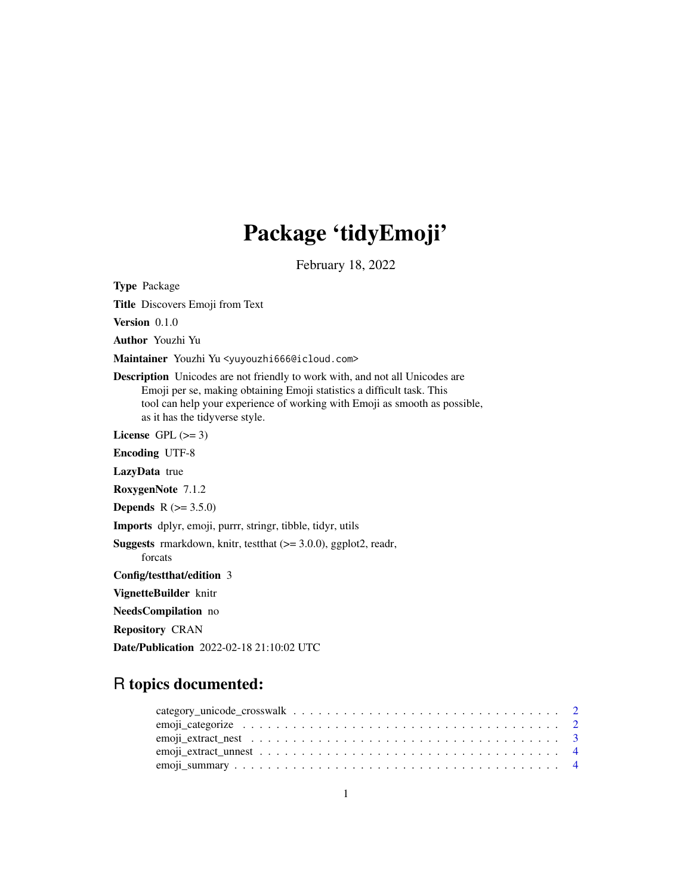## Package 'tidyEmoji'

February 18, 2022

Type Package

Title Discovers Emoji from Text

Version 0.1.0

Author Youzhi Yu

Maintainer Youzhi Yu <yuyouzhi666@icloud.com>

Description Unicodes are not friendly to work with, and not all Unicodes are Emoji per se, making obtaining Emoji statistics a difficult task. This tool can help your experience of working with Emoji as smooth as possible, as it has the tidyverse style.

License GPL  $(>= 3)$ 

Encoding UTF-8

LazyData true

RoxygenNote 7.1.2

**Depends**  $R (= 3.5.0)$ 

Imports dplyr, emoji, purrr, stringr, tibble, tidyr, utils

Suggests rmarkdown, knitr, testthat (>= 3.0.0), ggplot2, readr,

forcats

Config/testthat/edition 3

VignetteBuilder knitr

NeedsCompilation no

Repository CRAN

Date/Publication 2022-02-18 21:10:02 UTC

### R topics documented: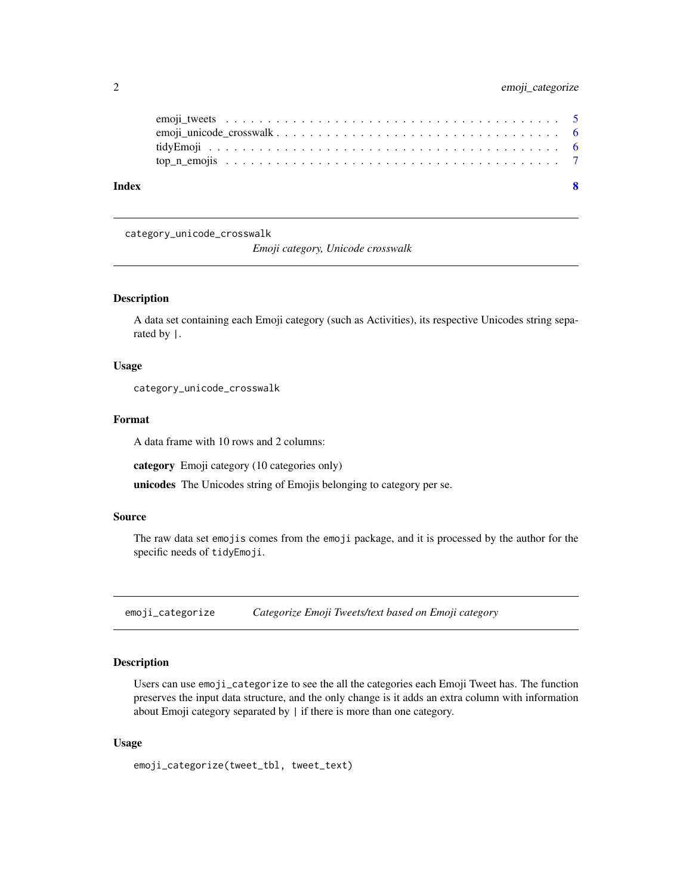<span id="page-1-0"></span>

| Index |  |
|-------|--|
|       |  |
|       |  |
|       |  |
|       |  |

category\_unicode\_crosswalk

*Emoji category, Unicode crosswalk*

#### Description

A data set containing each Emoji category (such as Activities), its respective Unicodes string separated by |.

#### Usage

category\_unicode\_crosswalk

#### Format

A data frame with 10 rows and 2 columns:

category Emoji category (10 categories only)

unicodes The Unicodes string of Emojis belonging to category per se.

#### Source

The raw data set emojis comes from the emoji package, and it is processed by the author for the specific needs of tidyEmoji.

emoji\_categorize *Categorize Emoji Tweets/text based on Emoji category*

#### Description

Users can use emoji\_categorize to see the all the categories each Emoji Tweet has. The function preserves the input data structure, and the only change is it adds an extra column with information about Emoji category separated by | if there is more than one category.

#### Usage

emoji\_categorize(tweet\_tbl, tweet\_text)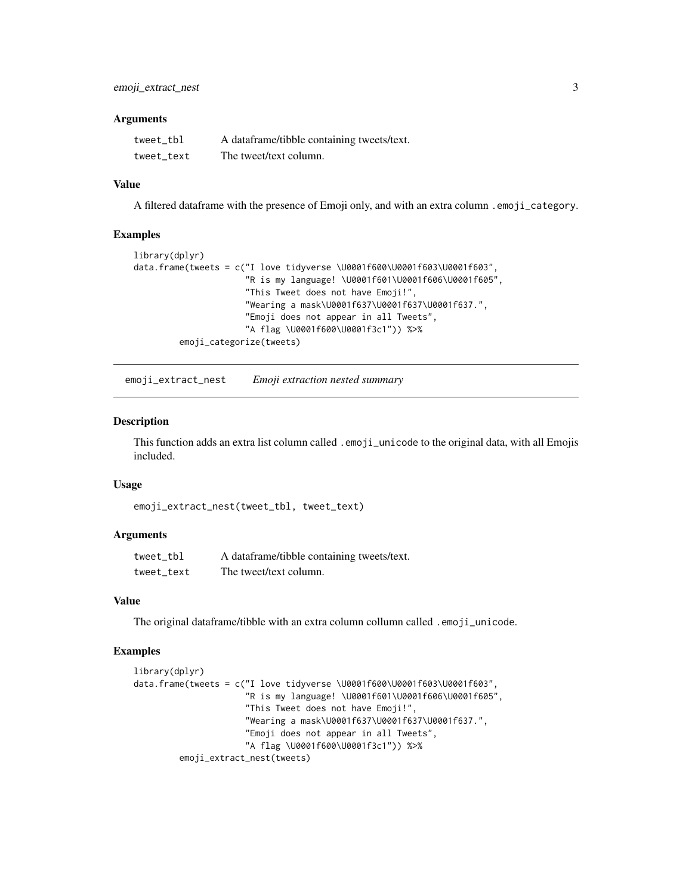#### <span id="page-2-0"></span>**Arguments**

| tweet tbl  | A dataframe/tibble containing tweets/text. |
|------------|--------------------------------------------|
| tweet text | The tweet/text column.                     |

#### Value

A filtered dataframe with the presence of Emoji only, and with an extra column .emoji\_category.

#### Examples

```
library(dplyr)
data.frame(tweets = c("I love tidyverse \U0001f600\U0001f603\U0001f603",
                      "R is my language! \U0001f601\U0001f606\U0001f605",
                      "This Tweet does not have Emoji!",
                      "Wearing a mask\U0001f637\U0001f637\U0001f637.",
                      "Emoji does not appear in all Tweets",
                      "A flag \U0001f600\U0001f3c1")) %>%
         emoji_categorize(tweets)
```
emoji\_extract\_nest *Emoji extraction nested summary*

#### Description

This function adds an extra list column called .emoji\_unicode to the original data, with all Emojis included.

#### Usage

```
emoji_extract_nest(tweet_tbl, tweet_text)
```
#### Arguments

| tweet tbl  | A dataframe/tibble containing tweets/text. |
|------------|--------------------------------------------|
| tweet text | The tweet/text column.                     |

#### Value

The original dataframe/tibble with an extra column collumn called .emoji\_unicode.

#### Examples

```
library(dplyr)
data.frame(tweets = c("I love tidyverse \U0001f600\U0001f603\U0001f603",
                      "R is my language! \U0001f601\U0001f606\U0001f605",
                      "This Tweet does not have Emoji!",
                      "Wearing a mask\U0001f637\U0001f637\U0001f637.",
                      "Emoji does not appear in all Tweets",
                      "A flag \U0001f600\U0001f3c1")) %>%
         emoji_extract_nest(tweets)
```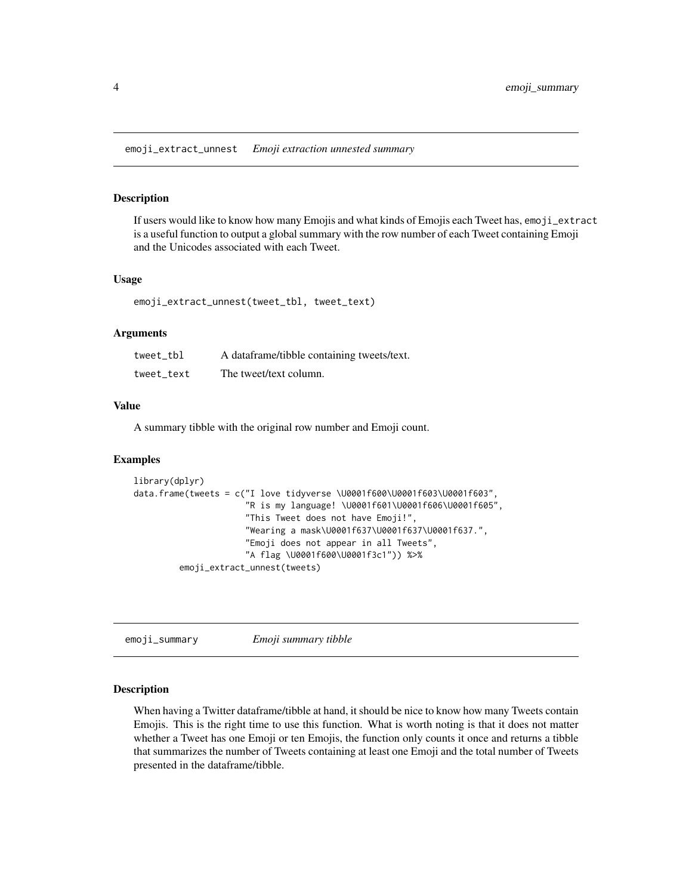<span id="page-3-0"></span>emoji\_extract\_unnest *Emoji extraction unnested summary*

#### Description

If users would like to know how many Emojis and what kinds of Emojis each Tweet has, emoji\_extract is a useful function to output a global summary with the row number of each Tweet containing Emoji and the Unicodes associated with each Tweet.

#### Usage

emoji\_extract\_unnest(tweet\_tbl, tweet\_text)

#### Arguments

| tweet tbl  | A dataframe/tibble containing tweets/text. |
|------------|--------------------------------------------|
| tweet text | The tweet/text column.                     |

#### Value

A summary tibble with the original row number and Emoji count.

#### Examples

```
library(dplyr)
data.frame(tweets = c("I love tidyverse \U0001f600\U0001f603\U0001f603",
                      "R is my language! \U0001f601\U0001f606\U0001f605",
                      "This Tweet does not have Emoji!",
                      "Wearing a mask\U0001f637\U0001f637\U0001f637.",
                      "Emoji does not appear in all Tweets",
                      "A flag \U0001f600\U0001f3c1")) %>%
         emoji_extract_unnest(tweets)
```
emoji\_summary *Emoji summary tibble*

#### Description

When having a Twitter dataframe/tibble at hand, it should be nice to know how many Tweets contain Emojis. This is the right time to use this function. What is worth noting is that it does not matter whether a Tweet has one Emoji or ten Emojis, the function only counts it once and returns a tibble that summarizes the number of Tweets containing at least one Emoji and the total number of Tweets presented in the dataframe/tibble.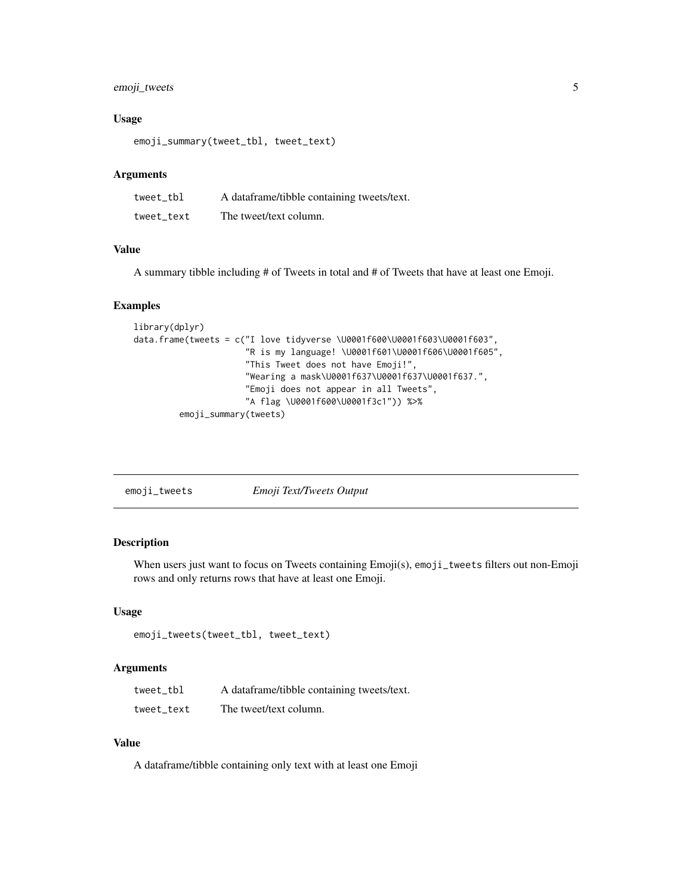#### <span id="page-4-0"></span>emoji\_tweets 5

#### Usage

emoji\_summary(tweet\_tbl, tweet\_text)

#### Arguments

| tweet tbl  | A dataframe/tibble containing tweets/text. |
|------------|--------------------------------------------|
| tweet text | The tweet/text column.                     |

#### Value

A summary tibble including # of Tweets in total and # of Tweets that have at least one Emoji.

#### Examples

```
library(dplyr)
data.frame(tweets = c("I love tidyverse \U0001f600\U0001f603\U0001f603",
                      "R is my language! \U0001f601\U0001f606\U0001f605",
                      "This Tweet does not have Emoji!",
                      "Wearing a mask\U0001f637\U0001f637\U0001f637.",
                      "Emoji does not appear in all Tweets",
                      "A flag \U0001f600\U0001f3c1")) %>%
         emoji_summary(tweets)
```

| Emoji Text/Tweets Output<br>emoji_tweets |  |  |
|------------------------------------------|--|--|

#### Description

When users just want to focus on Tweets containing Emoji(s), emoji\_tweets filters out non-Emoji rows and only returns rows that have at least one Emoji.

#### Usage

```
emoji_tweets(tweet_tbl, tweet_text)
```
#### Arguments

| tweet tbl  | A dataframe/tibble containing tweets/text. |
|------------|--------------------------------------------|
| tweet text | The tweet/text column.                     |

#### Value

A dataframe/tibble containing only text with at least one Emoji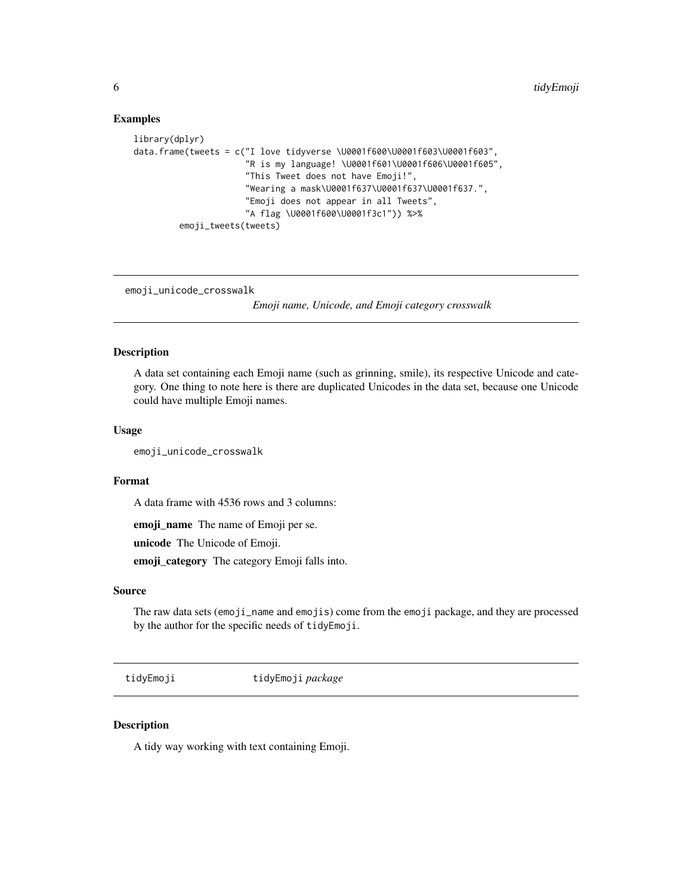#### Examples

```
library(dplyr)
data.frame(tweets = c("I love tidyverse \U0001f600\U0001f603\U0001f603",
                      "R is my language! \U0001f601\U0001f606\U0001f605",
                      "This Tweet does not have Emoji!",
                      "Wearing a mask\U0001f637\U0001f637\U0001f637.",
                      "Emoji does not appear in all Tweets",
                      "A flag \U0001f600\U0001f3c1")) %>%
         emoji_tweets(tweets)
```
emoji\_unicode\_crosswalk

*Emoji name, Unicode, and Emoji category crosswalk*

#### Description

A data set containing each Emoji name (such as grinning, smile), its respective Unicode and category. One thing to note here is there are duplicated Unicodes in the data set, because one Unicode could have multiple Emoji names.

#### Usage

emoji\_unicode\_crosswalk

#### Format

A data frame with 4536 rows and 3 columns:

emoji\_name The name of Emoji per se.

unicode The Unicode of Emoji.

emoji\_category The category Emoji falls into.

#### Source

The raw data sets (emoji\_name and emojis) come from the emoji package, and they are processed by the author for the specific needs of tidyEmoji.

tidyEmoji tidyEmoji *package*

#### Description

A tidy way working with text containing Emoji.

<span id="page-5-0"></span>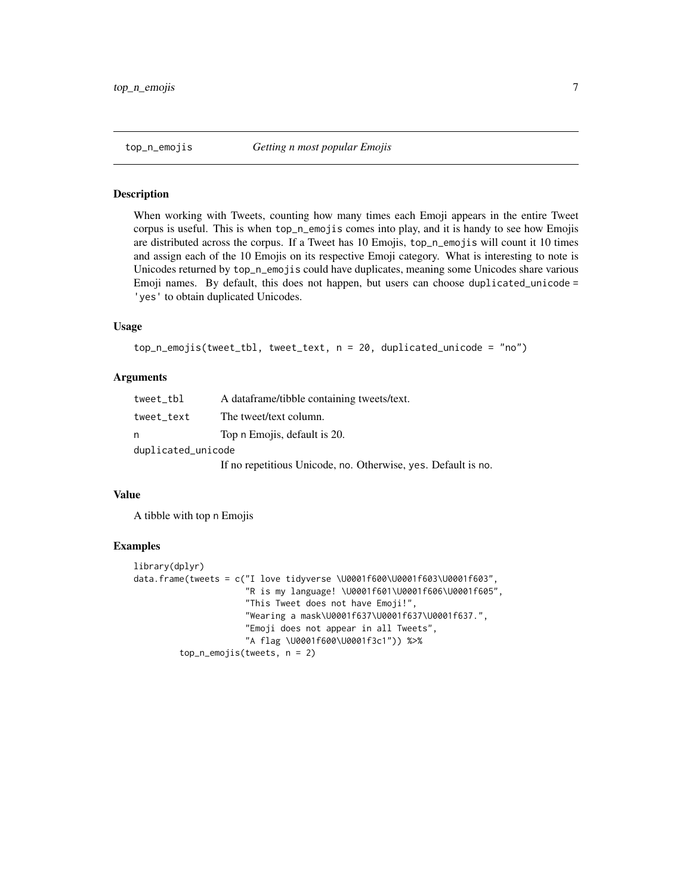<span id="page-6-0"></span>

#### Description

When working with Tweets, counting how many times each Emoji appears in the entire Tweet corpus is useful. This is when top\_n\_emojis comes into play, and it is handy to see how Emojis are distributed across the corpus. If a Tweet has 10 Emojis, top\_n\_emojis will count it 10 times and assign each of the 10 Emojis on its respective Emoji category. What is interesting to note is Unicodes returned by top\_n\_emojis could have duplicates, meaning some Unicodes share various Emoji names. By default, this does not happen, but users can choose duplicated\_unicode = 'yes' to obtain duplicated Unicodes.

#### Usage

```
top_n_emojis(tweet_tbl, tweet_text, n = 20, duplicated_unicode = "no")
```
#### Arguments

| tweet_tbl          | A dataframe/tibble containing tweets/text.                                                                                                     |  |  |  |  |
|--------------------|------------------------------------------------------------------------------------------------------------------------------------------------|--|--|--|--|
| tweet_text         | The tweet/text column.                                                                                                                         |  |  |  |  |
| n                  | Top n Emojis, default is 20.                                                                                                                   |  |  |  |  |
| duplicated_unicode |                                                                                                                                                |  |  |  |  |
|                    | $\mathbf{r}$ $\mathbf{r}$ $\mathbf{r}$ $\mathbf{r}$ $\mathbf{r}$ $\mathbf{r}$ $\mathbf{r}$ $\mathbf{r}$ $\mathbf{r}$ $\mathbf{r}$ $\mathbf{r}$ |  |  |  |  |

If no repetitious Unicode, no. Otherwise, yes. Default is no.

#### Value

A tibble with top n Emojis

#### Examples

```
library(dplyr)
data.frame(tweets = c("I love tidyverse \U0001f600\U0001f603\U0001f603",
                      "R is my language! \U0001f601\U0001f606\U0001f605",
                      "This Tweet does not have Emoji!",
                      "Wearing a mask\U0001f637\U0001f637\U0001f637.",
                      "Emoji does not appear in all Tweets",
                      "A flag \U0001f600\U0001f3c1")) %>%
         top_n_emojis(tweets, n = 2)
```